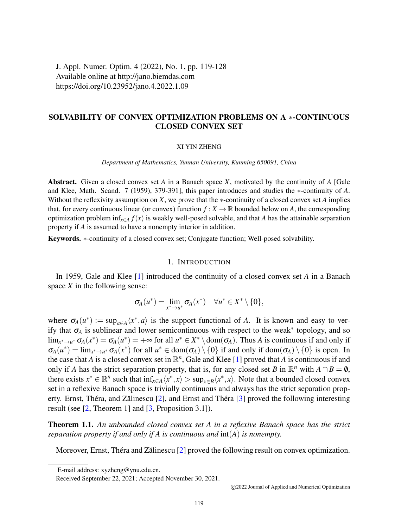J. Appl. Numer. Optim. 4 (2022), No. 1, pp. 119-128 Available online at http://jano.biemdas.com https://doi.org/10.23952/jano.4.2022.1.09

# SOLVABILITY OF CONVEX OPTIMIZATION PROBLEMS ON A ∗-CONTINUOUS CLOSED CONVEX SET

#### XI YIN ZHENG

*Department of Mathematics, Yunnan University, Kunming 650091, China*

Abstract. Given a closed convex set *A* in a Banach space *X*, motivated by the continuity of *A* [Gale and Klee, Math. Scand. 7 (1959), 379-391], this paper introduces and studies the ∗-continuity of *A*. Without the reflexivity assumption on *X*, we prove that the ∗-continuity of a closed convex set *A* implies that, for every continuous linear (or convex) function  $f: X \to \mathbb{R}$  bounded below on *A*, the corresponding optimization problem inf*x*∈*<sup>A</sup> f*(*x*) is weakly well-posed solvable, and that *A* has the attainable separation property if *A* is assumed to have a nonempty interior in addition.

Keywords. ∗-continuity of a closed convex set; Conjugate function; Well-posed solvability.

## 1. INTRODUCTION

In 1959, Gale and Klee [\[1\]](#page-8-0) introduced the continuity of a closed convex set *A* in a Banach space *X* in the following sense:

$$
\sigma_A(u^*) = \lim_{x^* \to u^*} \sigma_A(x^*) \quad \forall u^* \in X^* \setminus \{0\},
$$

where  $\sigma_A(u^*) := \sup_{a \in A} \langle x^*, a \rangle$  is the support functional of *A*. It is known and easy to verify that  $\sigma_A$  is sublinear and lower semicontinuous with respect to the weak<sup>\*</sup> topology, and so  $\lim_{x^* \to u^*} \sigma_A(x^*) = \sigma_A(u^*) = +\infty$  for all  $u^* \in X^* \setminus \text{dom}(\sigma_A)$ . Thus *A* is continuous if and only if  $\sigma_A(u^*) = \lim_{x^* \to u^*} \sigma_A(x^*)$  for all  $u^* \in \text{dom}(\sigma_A) \setminus \{0\}$  if and only if  $\text{dom}(\sigma_A) \setminus \{0\}$  is open. In the case that *A* is a closed convex set in  $\mathbb{R}^n$ , Gale and Klee [\[1\]](#page-8-0) proved that *A* is continuous if and only if *A* has the strict separation property, that is, for any closed set *B* in  $\mathbb{R}^n$  with  $A \cap B = \emptyset$ , there exists  $x^* \in \mathbb{R}^n$  such that  $\inf_{x \in A} \langle x^*, x \rangle > \sup_{x \in B} \langle x^*, x \rangle$ . Note that a bounded closed convex set in a reflexive Banach space is trivially continuous and always has the strict separation property. Ernst, Théra, and Zălinescu  $[2]$  $[2]$ , and Ernst and Théra  $[3]$  $[3]$  proved the following interesting result (see [\[2,](#page-8-1) Theorem 1] and [\[3,](#page-8-2) Proposition 3.1]).

<span id="page-0-0"></span>Theorem 1.1. *An unbounded closed convex set A in a reflexive Banach space has the strict separation property if and only if A is continuous and* int(*A*) *is nonempty.*

Moreover, Ernst, Théra and Zălinescu  $[2]$  $[2]$  proved the following result on convex optimization.

E-mail address: xyzheng@ynu.edu.cn.

Received September 22, 2021; Accepted November 30, 2021.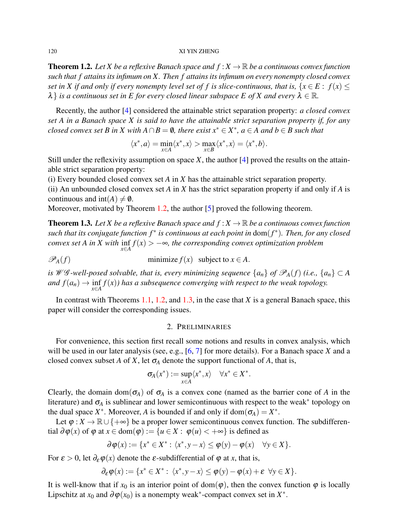#### 120 XI YIN ZHENG

<span id="page-1-0"></span>**Theorem 1.2.** Let X be a reflexive Banach space and  $f: X \to \mathbb{R}$  be a continuous convex function *such that f attains its infimum on X. Then f attains its infimum on every nonempty closed convex set in X if and only if every nonempty level set of f is slice-continuous, that is,* { $x \in E : f(x) \leq$  $\lambda$  *is a continuous set in E for every closed linear subspace E of X and every*  $\lambda \in \mathbb{R}$ *.* 

Recently, the author [\[4\]](#page-8-3) considered the attainable strict separation property: *a closed convex set A in a Banach space X is said to have the attainable strict separation property if, for any closed convex set B in X with*  $A \cap B = \emptyset$ , there exist  $x^* \in X^*$ ,  $a \in A$  and  $b \in B$  such that

$$
\langle x^*, a \rangle = \min_{x \in A} \langle x^*, x \rangle > \max_{x \in B} \langle x^*, x \rangle = \langle x^*, b \rangle.
$$

Still under the reflexivity assumption on space *X*, the author [\[4\]](#page-8-3) proved the results on the attainable strict separation property:

(i) Every bounded closed convex set *A* in *X* has the attainable strict separation property. (ii) An unbounded closed convex set *A* in *X* has the strict separation property if and only if *A* is continuous and  $int(A) \neq \emptyset$ .

Moreover, motivated by Theorem [1.2,](#page-1-0) the author [\[5\]](#page-9-0) proved the following theorem.

<span id="page-1-1"></span>**Theorem 1.3.** Let X be a reflexive Banach space and  $f: X \to \mathbb{R}$  be a continuous convex function *such that its conjugate function f* <sup>∗</sup> *is continuous at each point in* dom(*f* ∗ )*. Then, for any closed convex set A in X with*  $\inf f(x) > -\infty$ , the corresponding convex optimization problem *x*∈*A*

 $\mathscr{P}_A(f)$  minimize  $f(x)$  subject to  $x \in A$ .

*is W* G-well-posed solvable, that is, every minimizing sequence  $\{a_n\}$  of  $\mathscr{P}_A(f)$  (i.e.,  $\{a_n\} \subset A$ *and*  $f(a_n) \to \inf_{x \in A} f(x)$  *has a subsequence converging with respect to the weak topology.* 

In contrast with Theorems [1.1,](#page-0-0) [1.2,](#page-1-0) and [1.3,](#page-1-1) in the case that *X* is a general Banach space, this paper will consider the corresponding issues.

## 2. PRELIMINARIES

For convenience, this section first recall some notions and results in convex analysis, which will be used in our later analysis (see, e.g., [\[6,](#page-9-1) [7\]](#page-9-2) for more details). For a Banach space *X* and a closed convex subset *A* of *X*, let  $\sigma_A$  denote the support functional of *A*, that is,

$$
\sigma_A(x^*):=\sup_{x\in A}\langle x^*,x\rangle\quad\forall x^*\in X^*.
$$

Clearly, the domain dom( $\sigma_A$ ) of  $\sigma_A$  is a convex cone (named as the barrier cone of *A* in the literature) and  $\sigma_A$  is sublinear and lower semicontinuous with respect to the weak<sup>\*</sup> topology on the dual space  $X^*$ . Moreover, *A* is bounded if and only if dom $(\sigma_A) = X^*$ .

Let  $\varphi: X \to \mathbb{R} \cup \{+\infty\}$  be a proper lower semicontinuous convex function. The subdifferential  $\partial \varphi(x)$  of  $\varphi$  at  $x \in \text{dom}(\varphi) := \{u \in X : \varphi(u) < +\infty\}$  is defined as

$$
\partial \varphi(x) := \{x^* \in X^* : \langle x^*, y - x \rangle \leq \varphi(y) - \varphi(x) \quad \forall y \in X\}.
$$

For  $\varepsilon > 0$ , let  $\partial_{\varepsilon} \varphi(x)$  denote the  $\varepsilon$ -subdifferential of  $\varphi$  at *x*, that is,

$$
\partial_{\varepsilon} \varphi(x) := \{ x^* \in X^* : \ \langle x^*, y - x \rangle \leq \varphi(y) - \varphi(x) + \varepsilon \ \ \forall y \in X \}.
$$

It is well-know that if  $x_0$  is an interior point of dom( $\varphi$ ), then the convex function  $\varphi$  is locally Lipschitz at  $x_0$  and  $\partial \varphi(x_0)$  is a nonempty weak<sup>\*</sup>-compact convex set in  $X^*$ .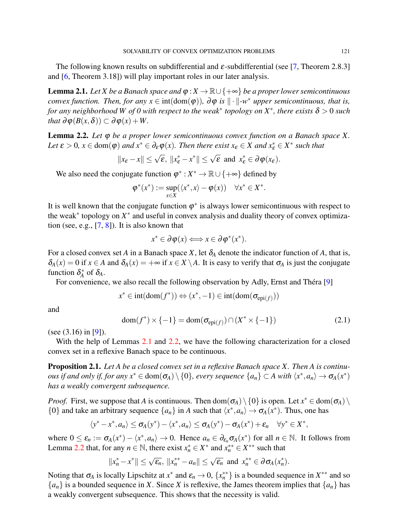The following known results on subdifferential and  $\varepsilon$ -subdifferential (see [\[7,](#page-9-2) Theorem 2.8.3] and [\[6,](#page-9-1) Theorem 3.18]) will play important roles in our later analysis.

<span id="page-2-0"></span>**Lemma 2.1.** *Let X be a Banach space and*  $\varphi$  : *X*  $\rightarrow \mathbb{R} \cup \{+\infty\}$  *be a proper lower semicontinuous convex function. Then, for any*  $x \in \text{int}(\text{dom}(\varphi))$ *,*  $\partial \varphi$  *is*  $\|\cdot\|$ -w<sup>\*</sup> *upper semicontinuous, that is, for any neighborhood W of 0 with respect to the weak*<sup>∗</sup> *topology on X*<sup>∗</sup> *, there exists* δ > 0 *such that*  $\partial \varphi(B(x, \delta)) \subset \partial \varphi(x) + W$ .

<span id="page-2-1"></span>Lemma 2.2. *Let* ϕ *be a proper lower semicontinuous convex function on a Banach space X. Let*  $\varepsilon > 0$ ,  $x \in \text{dom}(\varphi)$  *and*  $x^* \in \partial_{\varepsilon} \varphi(x)$ *. Then there exist*  $x_{\varepsilon} \in X$  *and*  $x_{\varepsilon}^* \in X^*$  *such that* 

$$
||x_{\varepsilon}-x|| \leq \sqrt{\varepsilon}, ||x_{\varepsilon}^*-x^*|| \leq \sqrt{\varepsilon} \text{ and } x_{\varepsilon}^* \in \partial \varphi(x_{\varepsilon}).
$$

We also need the conjugate function  $\varphi^* : X^* \to \mathbb{R} \cup \{+\infty\}$  defined by

$$
\varphi^*(x^*) := \sup_{x \in X} (\langle x^*, x \rangle - \varphi(x)) \quad \forall x^* \in X^*.
$$

It is well known that the conjugate function  $\varphi^*$  is always lower semicontinuous with respect to the weak<sup>∗</sup> topology on *X* ∗ and useful in convex analysis and duality theory of convex optimization (see, e.g.,  $[7, 8]$  $[7, 8]$  $[7, 8]$ ). It is also known that

$$
x^* \in \partial \varphi(x) \Longleftrightarrow x \in \partial \varphi^*(x^*).
$$

For a closed convex set *A* in a Banach space *X*, let  $\delta_A$  denote the indicator function of *A*, that is,  $\delta_A(x) = 0$  if  $x \in A$  and  $\delta_A(x) = +\infty$  if  $x \in X \setminus A$ . It is easy to verify that  $\sigma_A$  is just the conjugate function  $\delta_A^*$  $A^*$  of  $\delta_A$ .

For convenience, we also recall the following observation by Adly, Ernst and Théra [[9\]](#page-9-4)

$$
x^* \in \text{int}(\text{dom}(f^*)) \Leftrightarrow (x^*, -1) \in \text{int}(\text{dom}(\sigma_{\text{epi}(f)}))
$$

and

<span id="page-2-3"></span>
$$
\text{dom}(f^*) \times \{-1\} = \text{dom}(\sigma_{\text{epi}(f)}) \cap (X^* \times \{-1\})
$$
\n(2.1)

(see (3.16) in [\[9\]](#page-9-4)).

With the help of Lemmas [2.1](#page-2-0) and [2.2,](#page-2-1) we have the following characterization for a closed convex set in a reflexive Banach space to be continuous.

<span id="page-2-2"></span>Proposition 2.1. *Let A be a closed convex set in a reflexive Banach space X. Then A is continuous if and only if, for any*  $x^* \in \text{dom}(\sigma_A) \setminus \{0\}$ , every sequence  $\{a_n\} \subset A$  with  $\langle x^*, a_n \rangle \to \sigma_A(x^*)$ *has a weakly convergent subsequence.*

*Proof.* First, we suppose that *A* is continuous. Then dom $(\sigma_A) \setminus \{0\}$  is open. Let  $x^* \in \text{dom}(\sigma_A) \setminus$ {0} and take an arbitrary sequence  $\{a_n\}$  in *A* such that  $\langle x^*, a_n \rangle \to \sigma_A(x^*)$ . Thus, one has

$$
\langle y^*-x^*,a_n\rangle\leq \sigma_A(y^*)-\langle x^*,a_n\rangle\leq \sigma_A(y^*)-\sigma_A(x^*)+\varepsilon_n\quad \forall y^*\in X^*,
$$

where  $0 \le \varepsilon_n := \sigma_A(x^*) - \langle x^*, a_n \rangle \to 0$ . Hence  $a_n \in \partial_{\varepsilon_n} \sigma_A(x^*)$  for all  $n \in \mathbb{N}$ . It follows from Lemma [2.2](#page-2-1) that, for any  $n \in \mathbb{N}$ , there exist  $x_n^* \in X^*$  and  $x_n^{**} \in X^{**}$  such that

$$
||x_n^*-x^*|| \leq \sqrt{\varepsilon_n}, ||x_n^{**}-a_n|| \leq \sqrt{\varepsilon_n} \text{ and } x_n^{**} \in \partial \sigma_A(x_n^*).
$$

Noting that  $\sigma_A$  is locally Lipschitz at  $x^*$  and  $\varepsilon_n \to 0$ ,  $\{x_n^{**}\}\$  is a bounded sequence in  $X^{**}$  and so  ${a_n}$  is a bounded sequence in *X*. Since *X* is reflexive, the James theorem implies that  ${a_n}$  has a weakly convergent subsequence. This shows that the necessity is valid.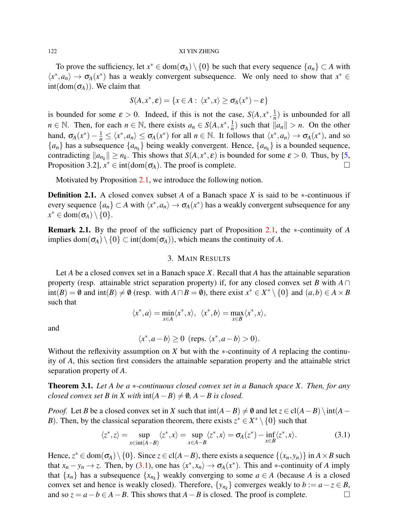#### 122 XI YIN ZHENG

To prove the sufficiency, let  $x^* \in \text{dom}(\sigma_A) \setminus \{0\}$  be such that every sequence  $\{a_n\} \subset A$  with  $\langle x^*, a_n \rangle \to \sigma_A(x^*)$  has a weakly convergent subsequence. We only need to show that  $x^* \in$  $int(dom(\sigma_A))$ . We claim that

$$
S(A, x^*, \varepsilon) = \{x \in A : \langle x^*, x \rangle \ge \sigma_A(x^*) - \varepsilon\}
$$

is bounded for some  $\varepsilon > 0$ . Indeed, if this is not the case,  $S(A, x^*, \frac{1}{n})$  $\frac{1}{n}$ ) is unbounded for all  $n \in \mathbb{N}$ . Then, for each  $n \in \mathbb{N}$ , there exists  $a_n \in S(A, x^*, \frac{1}{n})$  $\frac{1}{n}$ ) such that  $\|a_n\| > n$ . On the other hand,  $\sigma_A(x^*) - \frac{1}{n} \le \langle x^*, a_n \rangle \le \sigma_A(x^*)$  for all  $n \in \mathbb{N}$ . It follows that  $\langle x^*, a_n \rangle \to \sigma_A(x^*)$ , and so  ${a_n}$  has a subsequence  ${a_{n_k}}$  being weakly convergent. Hence,  ${a_{n_k}}$  is a bounded sequence, contradicting  $||a_{n_k}|| \ge n_k$ . This shows that  $S(A, x^*, \varepsilon)$  is bounded for some  $\varepsilon > 0$ . Thus, by [\[5,](#page-9-0) Proposition 3.2],  $x^* \in \text{int}(\text{dom}(\sigma_A))$ . The proof is complete.

Motivated by Proposition [2.1,](#page-2-2) we introduce the following notion.

Definition 2.1. A closed convex subset *A* of a Banach space *X* is said to be ∗-continuous if every sequence  $\{a_n\} \subset A$  with  $\langle x^*, a_n \rangle \to \sigma_A(x^*)$  has a weakly convergent subsequence for any  $x^* \in \text{dom}(\sigma_A) \setminus \{0\}.$ 

Remark 2.1. By the proof of the sufficiency part of Proposition [2.1,](#page-2-2) the ∗-continuity of *A* implies dom $(\sigma_A) \setminus \{0\} \subset \text{int}(\text{dom}(\sigma_A))$ , which means the continuity of *A*.

## 3. MAIN RESULTS

Let *A* be a closed convex set in a Banach space *X*. Recall that *A* has the attainable separation property (resp. attainable strict separation property) if, for any closed convex set *B* with  $A \cap$  $int(B) = \emptyset$  and  $int(B) \neq \emptyset$  (resp. with  $A \cap B = \emptyset$ ), there exist  $x^* \in X^* \setminus \{0\}$  and  $(a, b) \in A \times B$ such that

$$
\langle x^*, a \rangle = \min_{x \in A} \langle x^*, x \rangle, \ \ \langle x^*, b \rangle = \max_{x \in B} \langle x^*, x \rangle,
$$

and

$$
\langle x^*, a-b \rangle \ge 0 \text{ (reps. } \langle x^*, a-b \rangle > 0).
$$

Without the reflexivity assumption on *X* but with the ∗-continuity of *A* replacing the continuity of *A*, this section first considers the attainable separation property and the attainable strict separation property of *A*.

<span id="page-3-1"></span>Theorem 3.1. *Let A be a* ∗*-continuous closed convex set in a Banach space X. Then, for any closed convex set B in X with*  $int(A - B) \neq \emptyset$ ,  $A - B$  is closed.

*Proof.* Let *B* be a closed convex set in *X* such that  $int(A - B) \neq \emptyset$  and let  $z \in cl(A - B) \setminus int(A - B)$ *B*). Then, by the classical separation theorem, there exists  $z^* \in X^* \setminus \{0\}$  such that

<span id="page-3-0"></span>
$$
\langle z^*, z \rangle = \sup_{x \in \text{int}(A - B)} \langle z^*, x \rangle = \sup_{x \in A - B} \langle z^*, x \rangle = \sigma_A(z^*) - \inf_{x \in B} \langle z^*, x \rangle. \tag{3.1}
$$

Hence,  $z^* \in \text{dom}(\sigma_A) \setminus \{0\}$ . Since  $z \in \text{cl}(A - B)$ , there exists a sequence  $\{(x_n, y_n)\}$  in  $A \times B$  such that  $x_n - y_n \to z$ . Then, by [\(3.1\)](#page-3-0), one has  $\langle x^*, x_n \rangle \to \sigma_A(x^*)$ . This and  $*$ -continuity of *A* imply that  $\{x_n\}$  has a subsequence  $\{x_{n_k}\}$  weakly converging to some  $a \in A$  (because *A* is a closed convex set and hence is weakly closed). Therefore,  $\{y_{n_k}\}$  converges weakly to  $b := a - z \in B$ , and so  $z = a - b \in A - B$ . This shows that  $A - B$  is closed. The proof is complete.  $□$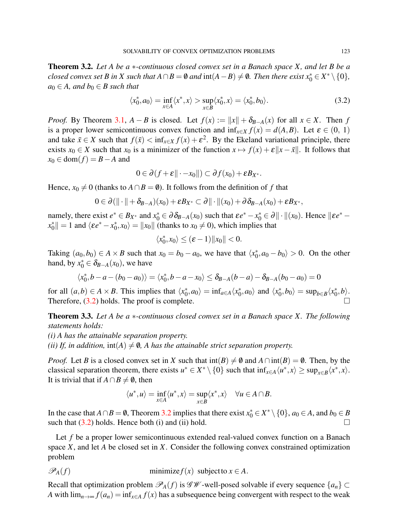<span id="page-4-1"></span>Theorem 3.2. *Let A be a* ∗*-continuous closed convex set in a Banach space X, and let B be a closed convex set B in X such that*  $A \cap B = \emptyset$  *and*  $int(A - B) \neq \emptyset$ *. Then there exist*  $x_0^* \in X^* \setminus \{0\}$ *,*  $a_0 \in A$ *, and*  $b_0 \in B$  *such that* 

<span id="page-4-0"></span>
$$
\langle x_0^*, a_0 \rangle = \inf_{x \in A} \langle x^*, x \rangle > \sup_{x \in B} \langle x_0^*, x \rangle = \langle x_0^*, b_0 \rangle.
$$
 (3.2)

*Proof.* By Theorem [3.1,](#page-3-1)  $A - B$  is closed. Let  $f(x) := ||x|| + \delta_{B-A}(x)$  for all  $x \in X$ . Then *f* is a proper lower semicontinuous convex function and  $\inf_{x \in X} f(x) = d(A, B)$ . Let  $\varepsilon \in (0, 1)$ and take  $\bar{x} \in X$  such that  $f(\bar{x}) < \inf_{x \in X} f(x) + \varepsilon^2$ . By the Ekeland variational principle, there exists  $x_0 \in X$  such that  $x_0$  is a minimizer of the function  $x \mapsto f(x) + \varepsilon ||x - \bar{x}||$ . It follows that  $x_0 \in \text{dom}(f) = B - A$  and

$$
0\in\partial(f+\varepsilon\|\cdot-x_0\|)\subset\partial f(x_0)+\varepsilon B_{X^*}.
$$

Hence,  $x_0 \neq 0$  (thanks to  $A \cap B = \emptyset$ ). It follows from the definition of *f* that

$$
0\in\partial\left(\|\cdot\|+\delta_{B-A}\right)(x_0)+\varepsilon B_{X^*}\subset\partial\|\cdot\|(x_0)+\partial\delta_{B-A}(x_0)+\varepsilon B_{X^*},
$$

namely, there exist  $e^* \in B_{X^*}$  and  $x_0^* \in \partial \delta_{B-A}(x_0)$  such that  $\epsilon e^* - x_0^* \in \partial || \cdot ||(x_0)$ . Hence  $|| \epsilon e^*$ *x* ∗  $||\mathbf{r}_0|| = 1$  and  $\langle \varepsilon e^* - x_0^* \rangle$  $\langle x_0^*, x_0 \rangle = \|x_0\|$  (thanks to  $x_0 \neq 0$ ), which implies that

$$
\langle x_0^*, x_0 \rangle \le (\varepsilon - 1) \|x_0\| < 0.
$$

Taking  $(a_0, b_0) \in A \times B$  such that  $x_0 = b_0 - a_0$ , we have that  $\langle x_0^* \rangle$  $\langle n_0, a_0 - b_0 \rangle > 0$ . On the other hand, by  $x_0^* \in \delta_{B-A}(x_0)$ , we have

$$
\langle x_0^*, b - a - (b_0 - a_0) \rangle = \langle x_0^*, b - a - x_0 \rangle \leq \delta_{B-A}(b-a) - \delta_{B-A}(b_0 - a_0) = 0
$$

for all  $(a, b) \in A \times B$ . This implies that  $\langle x_0^* \rangle$  $\langle a_0, a_0 \rangle = \inf_{a \in A} \langle x_0^* \rangle$  $\langle x_0^*, a_0 \rangle$  and  $\langle x_0^* \rangle$  $\langle b_0, b_0 \rangle = \sup_{b \in B} \langle x_0^* \rangle$  $_0^{\ast},b\rangle.$ Therefore, [\(3.2\)](#page-4-0) holds. The proof is complete.

Theorem 3.3. *Let A be a* ∗*-continuous closed convex set in a Banach space X. The following statements holds:*

*(i) A has the attainable separation property.*

*(ii) If, in addition,*  $int(A) \neq \emptyset$ , *A has the attainable strict separation property.* 

*Proof.* Let *B* is a closed convex set in *X* such that  $int(B) \neq \emptyset$  and  $A \cap int(B) = \emptyset$ . Then, by the classical separation theorem, there exists  $u^* \in X^* \setminus \{0\}$  such that  $\inf_{x \in A} \langle u^*, x \rangle \ge \sup_{x \in B} \langle x^*, x \rangle$ . It is trivial that if  $A \cap B \neq \emptyset$ , then

$$
\langle u^*, u \rangle = \inf_{x \in A} \langle u^*, x \rangle = \sup_{x \in B} \langle x^*, x \rangle \quad \forall u \in A \cap B.
$$

In the case that  $A \cap B = \emptyset$ , Theorem [3.2](#page-4-1) implies that there exist  $x_0^* \in X^* \setminus \{0\}$ ,  $a_0 \in A$ , and  $b_0 \in B$ such that  $(3.2)$  holds. Hence both (i) and (ii) hold.

Let *f* be a proper lower semicontinuous extended real-valued convex function on a Banach space *X*, and let *A* be closed set in *X*. Consider the following convex constrained optimization problem

$$
\mathscr{P}_A(f) \qquad \qquad \text{minimize} f(x) \text{ subject to } x \in A.
$$

Recall that optimization problem  $\mathscr{P}_A(f)$  is  $\mathscr{GW}$ -well-posed solvable if every sequence  $\{a_n\} \subset$ *A* with  $\lim_{n\to\infty} f(a_n) = \inf_{x\in A} f(x)$  has a subsequence being convergent with respect to the weak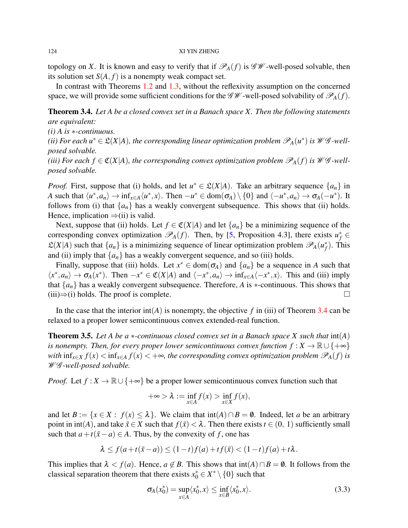topology on *X*. It is known and easy to verify that if  $\mathcal{P}_A(f)$  is  $\mathcal{GW}\text{-well-posed solvable, then}$ its solution set  $S(A, f)$  is a nonempty weak compact set.

In contrast with Theorems [1.2](#page-1-0) and [1.3,](#page-1-1) without the reflexivity assumption on the concerned space, we will provide some sufficient conditions for the  $\mathscr{GW}$ -well-posed solvability of  $\mathscr{P}_A(f)$ .

<span id="page-5-0"></span>Theorem 3.4. *Let A be a closed convex set in a Banach space X. Then the following statements are equivalent:*

*(i) A is* ∗*-continuous.*

*(ii)* For each  $u^* \in \mathfrak{L}(X|A)$ , the corresponding linear optimization problem  $\mathscr{P}_A(u^*)$  is  $\mathscr{W}\mathscr{G}$ -well*posed solvable.*

*(iii) For each*  $f \in \mathfrak{C}(X|A)$ *, the corresponding convex optimization problem*  $\mathcal{P}_A(f)$  *is*  $\mathcal{W}\mathcal{G}$ *-wellposed solvable.*

*Proof.* First, suppose that (i) holds, and let  $u^* \in \mathcal{L}(X|A)$ . Take an arbitrary sequence  $\{a_n\}$  in *A* such that  $\langle u^*, a_n \rangle \to \inf_{x \in A} \langle u^*, x \rangle$ . Then  $-u^* \in \text{dom}(\sigma_A) \setminus \{0\}$  and  $\langle -u^*, a_n \rangle \to \sigma_A(-u^*)$ . It follows from (i) that  $\{a_n\}$  has a weakly convergent subsequence. This shows that (ii) holds. Hence, implication  $\Rightarrow$ (ii) is valid.

Next, suppose that (ii) holds. Let  $f \in \mathfrak{C}(X|A)$  and let  $\{a_n\}$  be a minimizing sequence of the corresponding convex optimization  $\mathscr{P}_A(f)$ . Then, by [\[5,](#page-9-0) Proposition 4.3], there exists  $u_f^* \in$  $\mathfrak{L}(X|A)$  such that  $\{a_n\}$  is a minimizing sequence of linear optimization problem  $\mathscr{P}_A(u_f^*)$ *f* ). This and (ii) imply that  $\{a_n\}$  has a weakly convergent sequence, and so (iii) holds.

Finally, suppose that (iii) holds. Let  $x^* \in \text{dom}(\sigma_A)$  and  $\{a_n\}$  be a sequence in *A* such that  $\langle x^*, a_n \rangle \to \sigma_A(x^*)$ . Then  $-x^* \in \mathfrak{C}(X|A)$  and  $\langle -x^*, a_n \rangle \to \inf_{x \in A} \langle -x^*, x \rangle$ . This and (iii) imply that  $\{a_n\}$  has a weakly convergent subsequence. Therefore, *A* is  $*$ -continuous. This shows that (iii) $\Rightarrow$ (i) holds. The proof is complete.  $□$ 

In the case that the interior  $int(A)$  is nonempty, the objective f in (iii) of Theorem [3.4](#page-5-0) can be relaxed to a proper lower semicontinuous convex extended-real function.

<span id="page-5-2"></span>Theorem 3.5. *Let A be a* ∗*-continuous closed convex set in a Banach space X such that* int(*A*) *is nonempty. Then, for every proper lower semicontinuous convex function*  $f : X \to \mathbb{R} \cup \{+\infty\}$ *with*  $\inf_{x \in X} f(x) < \inf_{x \in A} f(x) < +\infty$ , the corresponding convex optimization problem  $\mathcal{P}_A(f)$  is W G *-well-posed solvable.*

*Proof.* Let  $f : X \to \mathbb{R} \cup \{+\infty\}$  be a proper lower semicontinuous convex function such that

$$
+\infty > \lambda := \inf_{x \in A} f(x) > \inf_{x \in X} f(x),
$$

and let  $B := \{x \in X : f(x) \le \lambda\}$ . We claim that  $int(A) \cap B = \emptyset$ . Indeed, let *a* be an arbitrary point in int(*A*), and take  $\bar{x} \in X$  such that  $f(\bar{x}) < \lambda$ . Then there exists  $t \in (0, 1)$  sufficiently small such that  $a + t(\bar{x} - a) \in A$ . Thus, by the convexity of *f*, one has

$$
\lambda \le f(a+t(\bar{x}-a)) \le (1-t)f(a)+tf(\bar{x}) < (1-t)f(a)+t\lambda.
$$

This implies that  $\lambda < f(a)$ . Hence,  $a \notin B$ . This shows that  $int(A) \cap B = \emptyset$ . It follows from the classical separation theorem that there exists  $x_0^* \in X^* \setminus \{0\}$  such that

<span id="page-5-1"></span>
$$
\sigma_A(x_0^*) = \sup_{x \in A} \langle x_0^*, x \rangle \le \inf_{x \in B} \langle x_0^*, x \rangle. \tag{3.3}
$$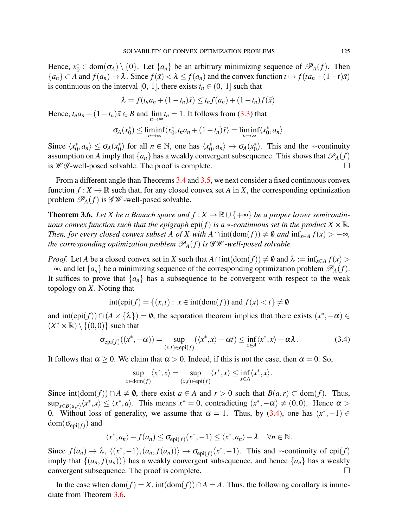Hence,  $x_0^* \in \text{dom}(\sigma_A) \setminus \{0\}$ . Let  $\{a_n\}$  be an arbitrary minimizing sequence of  $\mathscr{P}_A(f)$ . Then  ${a_n} \subset A$  and  $f(a_n) \to \lambda$ . Since  $f(\bar{x}) < \lambda \le f(a_n)$  and the convex function  $t \mapsto f(t a_n + (1-t)\bar{x})$ is continuous on the interval [0, 1], there exists  $t_n \in (0, 1]$  such that

$$
\lambda = f(t_n a_n + (1-t_n)\overline{x}) \leq t_n f(a_n) + (1-t_n)f(\overline{x}).
$$

Hence,  $t_n a_n + (1 - t_n)\bar{x} \in B$  and  $\lim_{n \to \infty} t_n = 1$ . It follows from [\(3.3\)](#page-5-1) that

$$
\sigma_A(x_0^*) \leq \liminf_{n \to \infty} \langle x_0^*, t_n a_n + (1 - t_n) \bar{x} \rangle = \liminf_{n \to \infty} \langle x_0^*, a_n \rangle.
$$

Since  $\langle x_0^* \rangle$  $\langle \phi_0^*, a_n \rangle \leq \sigma_A(x_0^*)$ <sup>\*</sup><sub>0</sub>) for all  $n \in \mathbb{N}$ , one has  $\langle x_0^* \rangle$  $\langle \phi_0^*, a_n \rangle \to \sigma_A(x_0^*)$  $_{0}^{*}$ ). This and the  $*$ -continuity assumption on *A* imply that  $\{a_n\}$  has a weakly convergent subsequence. This shows that  $\mathcal{P}_A(f)$ is  $W\mathscr{G}\text{-well-posed solvable.}$  The proof is complete.

From a different angle than Theorems [3.4](#page-5-0) and [3.5,](#page-5-2) we next consider a fixed continuous convex function  $f: X \to \mathbb{R}$  such that, for any closed convex set *A* in *X*, the corresponding optimization problem  $\mathcal{P}_A(f)$  is  $\mathcal{GW}$ -well-posed solvable.

<span id="page-6-1"></span>**Theorem 3.6.** Let *X* be a Banach space and  $f : X \to \mathbb{R} \cup \{+\infty\}$  be a proper lower semicontin*uous convex function such that the epigraph*  $epi(f)$  *is a*  $*$ *-continuous set in the product*  $X \times \mathbb{R}$ *. Then, for every closed convex subset A of X with*  $A \cap int(\text{dom}(f)) \neq \emptyset$  *and*  $\inf_{x \in A} f(x) > -\infty$ *, the corresponding optimization problem*  $\mathcal{P}_A(f)$  *is*  $\mathcal{GW}$ *-well-posed solvable.* 

*Proof.* Let *A* be a closed convex set in *X* such that  $A \cap \text{int}(\text{dom}(f)) \neq \emptyset$  and  $\lambda := \text{inf}_{x \in A} f(x)$ −∞, and let  $\{a_n\}$  be a minimizing sequence of the corresponding optimization problem  $\mathcal{P}_A(f)$ . It suffices to prove that  ${a_n}$  has a subsequence to be convergent with respect to the weak topology on *X*. Noting that

$$
int(epi(f) = \{(x,t) : x \in int(dom(f)) \text{ and } f(x) < t\} \neq \emptyset
$$

and  $\text{int}(\text{epi}(f)) \cap (A \times \{\lambda\}) = \emptyset$ , the separation theorem implies that there exists  $(x^*, -\alpha) \in$  $(X^* \times \mathbb{R}) \setminus \{(0,0)\}\)$  such that

<span id="page-6-0"></span>
$$
\sigma_{\text{epi}(f)}((x^*, -\alpha)) = \sup_{(x,t) \in \text{epi}(f)} (\langle x^*, x \rangle - \alpha t) \le \inf_{x \in A} \langle x^*, x \rangle - \alpha \lambda. \tag{3.4}
$$

It follows that  $\alpha \ge 0$ . We claim that  $\alpha > 0$ . Indeed, if this is not the case, then  $\alpha = 0$ . So,

$$
\sup_{x \in \text{dom}(f)} \langle x^*, x \rangle = \sup_{(x,t) \in \text{epi}(f)} \langle x^*, x \rangle \le \inf_{x \in A} \langle x^*, x \rangle.
$$

Since  $int(dom(f)) \cap A ≠ ∅$ , there exist  $a ∈ A$  and  $r > 0$  such that  $B(a,r) ⊂ dom(f)$ . Thus,  $\sup_{x \in B(a,r)} \langle x^*, x \rangle \leq \langle x^*, a \rangle$ . This means  $x^* = 0$ , contradicting  $(x^*, -\alpha) \neq (0,0)$ . Hence  $\alpha >$ 0. Without loss of generality, we assume that  $\alpha = 1$ . Thus, by [\(3.4\)](#page-6-0), one has  $(x^*, -1) \in$  $\mathsf{dom}(\mathsf{o}_{\mathsf{epi}(f)})$  and

$$
\langle x^*, a_n \rangle - f(a_n) \leq \sigma_{\text{epi}(f)}(x^*, -1) \leq \langle x^*, a_n \rangle - \lambda \quad \forall n \in \mathbb{N}.
$$

Since  $f(a_n) \to \lambda$ ,  $\langle (x^*, -1), (a_n, f(a_n)) \rangle \to \sigma_{epi(f)}(x^*, -1)$ . This and ∗-continuity of epi(*f*) imply that  $\{(a_n, f(a_n))\}$  has a weakly convergent subsequence, and hence  $\{a_n\}$  has a weakly convergent subsequence. The proof is complete.

In the case when  $dom(f) = X$ ,  $int(dom(f)) \cap A = A$ . Thus, the following corollary is immediate from Theorem [3.6.](#page-6-1)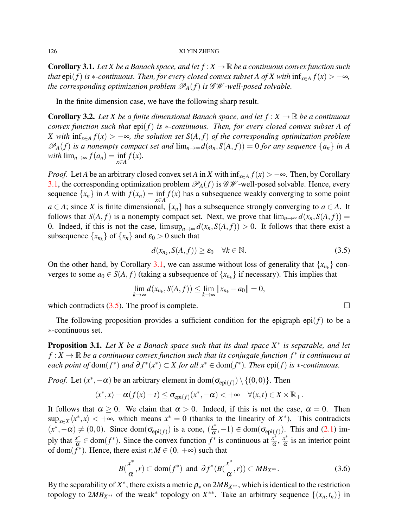<span id="page-7-0"></span>**Corollary 3.1.** *Let X be a Banach space, and let*  $f : X \to \mathbb{R}$  *be a continuous convex function such that* epi(*f*) *is*  $*$ *-continuous. Then, for every closed convex subset A of X with*  $\inf_{x \in A} f(x) > -\infty$ *, the corresponding optimization problem*  $\mathcal{P}_A(f)$  *is*  $\mathcal{GW}-well-posed solvable.$ 

In the finite dimension case, we have the following sharp result.

**Corollary 3.2.** Let X be a finite dimensional Banach space, and let  $f : X \to \mathbb{R}$  be a continuous *convex function such that* epi(*f*) *is* ∗*-continuous. Then, for every closed convex subset A of X* with  $\inf_{x \in A} f(x) > −∞$ *, the solution set*  $S(A, f)$  *of the corresponding optimization problem*  $\mathscr{P}_A(f)$  *is a nonempty compact set and*  $\lim_{n\to\infty} d(a_n, S(A, f)) = 0$  *for any sequence*  $\{a_n\}$  *in A*  $\text{with } \lim_{n \to \infty} f(a_n) = \inf_{x \in A} f(x).$ 

*Proof.* Let *A* be an arbitrary closed convex set *A* in *X* with  $\inf_{x \in A} f(x) > -\infty$ . Then, by Corollary [3.1,](#page-7-0) the corresponding optimization problem  $\mathscr{P}_A(f)$  is  $\mathscr{GW}$ -well-posed solvable. Hence, every sequence  $\{x_n\}$  in *A* with  $f(x_n) = \inf_{x \in A} f(x)$  has a subsequence weakly converging to some point *a* ∈ *A*; since *X* is finite dimensional,  $\{x_n\}$  has a subsequence strongly converging to *a* ∈ *A*. It follows that *S*(*A*, *f*) is a nonempty compact set. Next, we prove that  $\lim_{n\to\infty} d(x_n, S(A, f)) =$ 0. Indeed, if this is not the case,  $\limsup_{n\to\infty} d(x_n, S(A, f)) > 0$ . It follows that there exist a subsequence  $\{x_{n_k}\}$  of  $\{x_n\}$  and  $\varepsilon_0 > 0$  such that

<span id="page-7-1"></span>
$$
d(x_{n_k}, S(A, f)) \ge \varepsilon_0 \quad \forall k \in \mathbb{N}.\tag{3.5}
$$

On the other hand, by Corollary [3.1,](#page-7-0) we can assume without loss of generality that  $\{x_{n_k}\}$  converges to some  $a_0 \in S(A, f)$  (taking a subsequence of  $\{x_{n_k}\}\$ if necessary). This implies that

$$
\lim_{k\to\infty}d(x_{n_k},S(A,f))\leq \lim_{k\to\infty}||x_{n_k}-a_0||=0,
$$

which contradicts  $(3.5)$ . The proof is complete.

The following proposition provides a sufficient condition for the epigraph  $epi(f)$  to be a ∗-continuous set.

Proposition 3.1. *Let X be a Banach space such that its dual space X*<sup>∗</sup> *is separable, and let f* : *X* →  $\mathbb R$  *be a continuous convex function such that its conjugate function*  $f^*$  *is continuous at each point of*  $dom(f^*)$  *and*  $\partial f^*(x^*) \subset X$  *for all*  $x^* \in dom(f^*)$ *. Then*  $epi(f)$  *is*  $*$ *-continuous.* 

*Proof.* Let  $(x^*, -\alpha)$  be an arbitrary element in dom $(\sigma_{epi(f)}) \setminus \{(0,0)\}\)$ . Then

$$
\langle x^*, x \rangle - \alpha(f(x) + t) \leq \sigma_{epi(f)}(x^*, -\alpha) < +\infty \quad \forall (x, t) \in X \times \mathbb{R}_+.
$$

It follows that  $\alpha \ge 0$ . We claim that  $\alpha > 0$ . Indeed, if this is not the case,  $\alpha = 0$ . Then  $\sup_{x \in X} \langle x^*, x \rangle < +\infty$ , which means  $x^* = 0$  (thanks to the linearity of  $X^*$ ). This contradicts  $(x^*, -\alpha) \neq (0,0)$ . Since dom $(\sigma_{epi(f)})$  is a cone,  $(\frac{x^*}{\alpha})$  $(\frac{x^*}{\alpha}, -1) \in \text{dom}(\sigma_{\text{epi}(f)})$ . This and [\(2.1\)](#page-2-3) imply that  $\frac{x^*}{\alpha}$  $\frac{x^*}{\alpha}$  ∈ dom(*f*<sup>\*</sup>). Since the convex function *f*<sup>\*</sup> is continuous at  $\frac{x^*}{\alpha}$  $\frac{x^*}{\alpha}, \frac{x^*}{\alpha}$  $\frac{x^2}{\alpha}$  is an interior point of dom $(\tilde{f}^*)$ . Hence, there exist  $r, M \in (0, +\infty)$  such that

<span id="page-7-2"></span>
$$
B(\frac{x^*}{\alpha}, r) \subset \text{dom}(f^*) \text{ and } \partial f^*(B(\frac{x^*}{\alpha}, r)) \subset MB_{X^{**}}.
$$
 (3.6)

By the separability of  $X^*$ , there exists a metric  $\rho_*$  on  $2MB_{X^{**}}$ , which is identical to the restriction topology to  $2MB_{X^{**}}$  of the weak<sup>\*</sup> topology on  $X^{**}$ . Take an arbitrary sequence  $\{(x_n,t_n)\}\$ in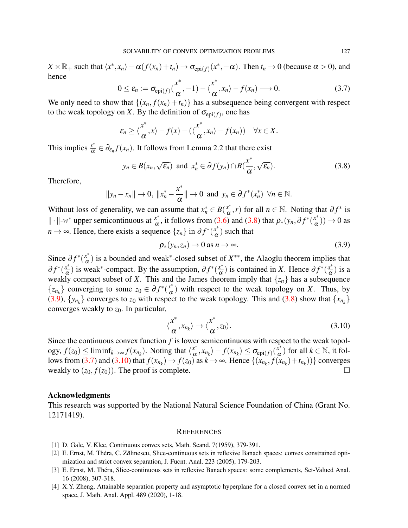$X \times \mathbb{R}_+$  such that  $\langle x^*, x_n \rangle - \alpha(f(x_n) + t_n) \to \sigma_{epi(f)}(x^*, -\alpha)$ . Then  $t_n \to 0$  (because  $\alpha > 0$ ), and hence ∗ ∗

<span id="page-8-6"></span>
$$
0 \le \varepsilon_n := \sigma_{\text{epi}(f)}(\frac{x^*}{\alpha}, -1) - \langle \frac{x^*}{\alpha}, x_n \rangle - f(x_n) \longrightarrow 0. \tag{3.7}
$$

We only need to show that  $\{(x_n, f(x_n) + t_n)\}\$  has a subsequence being convergent with respect to the weak topology on *X*. By the definition of  $\sigma_{epi(f)}$ , one has

$$
\varepsilon_n \geq \langle \frac{x^*}{\alpha}, x \rangle - f(x) - (\langle \frac{x^*}{\alpha}, x_n \rangle - f(x_n)) \quad \forall x \in X.
$$

This implies  $\frac{x^*}{\alpha}$  $\frac{x^k}{\alpha} \in \partial_{\varepsilon_n} f(x_n)$ . It follows from Lemma 2.2 that there exist

<span id="page-8-4"></span>
$$
y_n \in B(x_n, \sqrt{\varepsilon_n})
$$
 and  $x_n^* \in \partial f(y_n) \cap B(\frac{x^*}{\alpha}, \sqrt{\varepsilon_n}).$  (3.8)

Therefore,

$$
||y_n-x_n|| \to 0
$$
,  $||x_n^*-\frac{x^*}{\alpha}|| \to 0$  and  $y_n \in \partial f^*(x_n^*)$   $\forall n \in \mathbb{N}$ .

Without loss of generality, we can assume that  $x_n^* \in B(\frac{x^*}{\alpha})$  $\frac{x^*}{\alpha}$ , *r*) for all *n* ∈ N. Noting that  $\partial f^*$  is || ⋅ ||-w<sup>\*</sup> upper semicontinuous at  $\frac{x^*}{\alpha}$  $\frac{x^*}{\alpha}$ , it follows from [\(3.6\)](#page-7-2) and [\(3.8\)](#page-8-4) that  $\rho_*(y_n, \partial f^*(\frac{x^*}{\alpha}))$  $\frac{x^*}{\alpha})$ )  $\rightarrow$  0 as *n* → ∞. Hence, there exists a sequence  $\{z_n\}$  in  $\partial f^*(\frac{x^*}{\alpha})$  $\frac{x^2}{\alpha}$ ) such that

<span id="page-8-5"></span>
$$
\rho_*(y_n, z_n) \to 0 \text{ as } n \to \infty. \tag{3.9}
$$

Since  $\partial f^*(\frac{x^*}{\alpha})$  $\left(\frac{x^*}{\alpha}\right)$  is a bounded and weak<sup>\*</sup>-closed subset of  $X^{**}$ , the Alaoglu theorem implies that  $∂f^*(\frac{x^*}{α})$  $\frac{x^*}{\alpha}$ ) is weak<sup>\*</sup>-compact. By the assumption,  $\partial f^*(\frac{x^*}{\alpha})$  $\frac{x^*}{\alpha}$ ) is contained in *X*. Hence  $\partial f^*(\frac{x^*}{\alpha})$  $\frac{x^*}{\alpha}$ ) is a weakly compact subset of *X*. This and the James theorem imply that  $\{z_n\}$  has a subsequence  $\{z_{n_k}\}\)$  converging to some  $z_0 \in \partial f^*(\frac{x^*}{\alpha})$  $\frac{x^2}{\alpha}$ ) with respect to the weak topology on *X*. Thus, by [\(3.9\)](#page-8-5),  $\{y_{n_k}\}$  converges to  $z_0$  with respect to the weak topology. This and [\(3.8\)](#page-8-4) show that  $\{x_{n_k}\}$ converges weakly to *z*0. In particular,

<span id="page-8-7"></span>
$$
\langle \frac{x^*}{\alpha}, x_{n_k} \rangle \to \langle \frac{x^*}{\alpha}, z_0 \rangle.
$$
 (3.10)

Since the continuous convex function *f* is lower semicontinuous with respect to the weak topology,  $f(z_0) \leq \liminf_{k \to \infty} f(x_{n_k})$ . Noting that  $\langle \frac{x^*}{\alpha} \rangle$  $\langle \frac{x^*}{\alpha}, x_{n_k} \rangle - f(x_{n_k}) \leq \sigma_{\text{epi}(f)}(\frac{x^*}{\alpha})$  $\frac{x^*}{\alpha}$ ) for all  $k \in \mathbb{N}$ , it fol-lows from [\(3.7\)](#page-8-6) and [\(3.10\)](#page-8-7) that  $f(x_{n_k}) \to f(z_0)$  as  $k \to \infty$ . Hence  $\{(x_{n_k}, f(x_{n_k}) + t_{n_k})\}\$ converges weakly to  $(z_0, f(z_0))$ . The proof is complete.

### Acknowledgments

This research was supported by the National Natural Science Foundation of China (Grant No. 12171419).

#### **REFERENCES**

- <span id="page-8-0"></span>[1] D. Gale, V. Klee, Continuous convex sets, Math. Scand. 7(1959), 379-391.
- <span id="page-8-1"></span>[2] E. Ernst, M. Théra, C. Z*ă*linescu, Slice-continuous sets in reflexive Banach spaces: convex constrained optimization and strict convex separation, J. Fucnt. Anal. 223 (2005), 179-203.
- <span id="page-8-2"></span>[3] E. Ernst, M. Théra, Slice-continuous sets in reflexive Banach spaces: some complements, Set-Valued Anal. 16 (2008), 307-318.
- <span id="page-8-3"></span>[4] X.Y. Zheng, Attainable separation property and asymptotic hyperplane for a closed convex set in a normed space, J. Math. Anal. Appl. 489 (2020), 1-18.